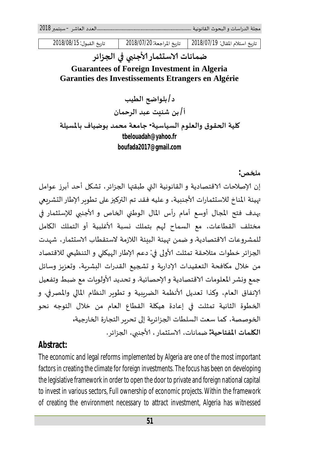**مݏݵص:** 

تاريخ استلام المقال: 2018/07/19 | تاريخ المراجعة: 2018/07/20 | تاريخ القبول: 2018/08/15

## ضمانات الا*س*تثمار الأجنبي في الجزائر

## **Guarantees of Foreign Investment in Algeria Garanties des Investissements Etrangers en Algérie**

**د/ بلواܷݳ الطيب أ/ بنࡧشنʋتࡧعبدࡧالرحمان** 

**ɠليةࡧاݍݰقوقࡧوالعلومࡧالسياسية- جامعةࡧمحمدࡧبوضيافࡧبالمسيلة tbelouadah@yahoo.fr boufada2017@gmail.com**

إن الإصلاحات الاقتصادية و القانونية التي طبقتها الجزائر ، تشكل أحد أبرز عوامل تهيئة المناخ للاستثمارات الأجنبية، و عليه فقد تم التركيز على تطوير الإطار التشريعي بهدف فتح المجال أوسع أمام رأس المال الوطني الخاص و الأجنبي للإستثمار في مختلف القطاعات، مع السماح لهم بتملك نسبة الأغلبية أو التملك الكامل للمشروعات الاقتصادية. و ضمن  $_2$ يئة البنئة اللازمة لاستقطاب الاستثمار ، شهدت الجزائر خطوات متلاحقة تمثلت الأولى في: دعم الإطار الهيكلى و التنظيمي للاقتصاد من خلال مكافحة التعقيدات الإداربة و تشجيع القدرات البشربة، وتعزبز وسائل جمع ونشر المعلومات الاقتصادية و الإحصائية. و تحديد الأولوبات مع ضبط وتفعيل الإنفاق العام، وكذا تعديل الأنظمة الضرببية و تطوير النظام المالي والمصرفي. و الخطوة الثانية تمثلت في إعادة هيكلة القطاع العام من خلال التوجه نحو الخوصصة، كما سعت السلطات الجزائرية إلى تحرير التجارة الخارجية**.** 

**الكلمات المفتاحية:** ضمانات، الاستثمار ، الأجنبي، الجزائر .

### **Abstract:**

The economic and legal reforms implemented by Algeria are one of the most important factors in creating the climate for foreign investments. The focus has been on developing the legislative framework in order to open the door to private and foreign national capital to invest in various sectors, Full ownership of economic projects. Within the framework of creating the environment necessary to attract investment, Algeria has witnessed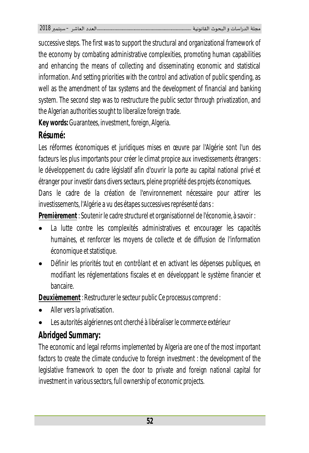successive steps. The first was to support the structural and organizational framework of the economy by combating administrative complexities, promoting human capabilities and enhancing the means of collecting and disseminating economic and statistical information. And setting priorities with the control and activation of public spending, as well as the amendment of tax systems and the development of financial and banking system. The second step was to restructure the public sector through privatization, and the Algerian authorities sought to liberalize foreign trade.

**Key words:** Guarantees, investment, foreign, Algeria.

# **Résumé:**

Les réformes économiques et juridiques mises en œuvre par l'Algérie sont l'un des facteurs les plus importants pour créer le climat propice aux investissements étrangers: le développement du cadre législatif afin d'ouvrir la porte au capital national privé et étranger pour investir dans divers secteurs, pleine propriété des projets économiques.

Dans le cadre de la création de l'environnement nécessaire pour attirer les investissements, l'Algérie a vu des étapes successives représenté dans :

**Premièrement** : Soutenir le cadre structurel et organisationnel de l'économie, à savoir :

- La lutte contre les complexités administratives et encourager les capacités humaines, et renforcer les moyens de collecte et de diffusion de l'information économique et statistique.
- Définir les priorités tout en contrôlant et en activant les dépenses publiques, en modifiant les réglementations fiscales et en développant le système financier et bancaire.

**Deuxièmement** : Restructurer le secteur public Ce processus comprend :

- Aller vers la privatisation.
- Les autorités algériennes ont cherché à libéraliser le commerce extérieur

# **Abridged Summary:**

The economic and legal reforms implemented by Algeria are one of the most important factors to create the climate conducive to foreign investment : the development of the legislative framework to open the door to private and foreign national capital for investment in various sectors, full ownership of economic projects.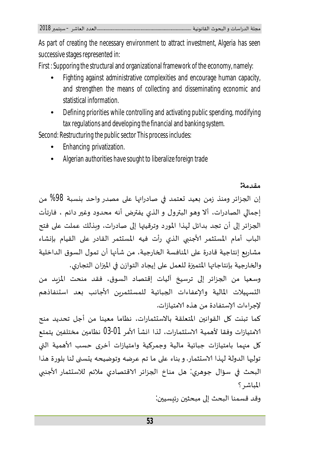As part of creating the necessary environment to attract investment, Algeria has seen successive stages represented in:

First : Supporing the structural and organizational framework of the economy, namely:

- Fighting against administrative complexities and encourage human capacity, and strengthen the means of collecting and disseminating economic and statistical information.
- Defining priorities while controlling and activating public spending, modifying tax regulations and developing the financial and banking system.

Second: Restructuring the public sector This process includes:

- Enhancing privatization.
- Algerian authorities have sought to liberalize foreign trade

#### **مقدمة:**

إن الجزائر ومنذ زمن بعيد تعتمد في صادراتها على مصدر واحد بنسبة 98% من إجمالي الصادرات، ألا وهو البترول و الذي يفترض أنه محدود وغير دائم ، فارتأت الجزائر إلى أن تجد بدائل لهذا المورد وترقيتها إلى صادرات، وبذلك عملت على فتح الباب أمام المستثمر الأجنبي الذي رأت فيه المستثمر القادر على القيام بإنشاء مشاربع إنتاجية قادرة على المنافسة الخارجية، من شأنها أن تمول السوق الداخلية والخارجية بإنتاجاتها المتميزة للعمل على إيجاد التوازن في الميزان التجاري.

وسعيا من الجزائر إلى ترسيخ أليات إقتصاد السوق، فقد منحت المزيد من التسهيلات المالية والإعفاءات الجبائية للمستثمربن الأجانب بعد استنفاذهم لإجراءات الإستفادة من هذه الامتيازات.

كما تبنت كل القوانين المتعلقة بالاستثمارات، نظاما معينا من أجل تحديد منح الامتيازات وفقا لأهمية الاستثمارات، لذا انشأ الأمر 03-01 نظامين مختلفين يتمتع كل منهما بامتيازات جبائية مالية وجمركية وامتيازات أخرى حسب الأهمية التي توليها الدولة لهذا الاستثمار. و بناء على ما تم عرضه وتوضيحه يتسنى لنا بلورة هذا البحث في سؤال جوهري: هل مناخ الجزائر الاقتصادي ملائم للاستثمار الأجنبي المباشر؟

وقد قسمنا البحث إلى مبحثين رئيسيين: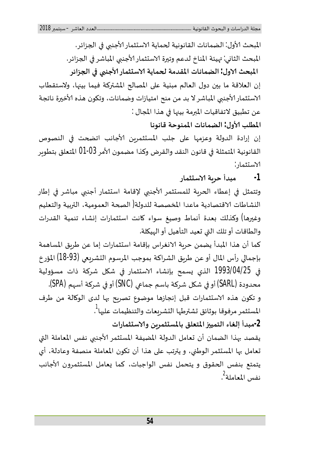المبحث الأول: الضمانات القانونية لحماية الاستثمار الأجنبي في الجزائر. المبحث الثاني: مهيئة المناخ لدعم وتيرة الاستثمار الأجنبي المباشر في الجزائر. **المبحثࡧטول : الضماناتࡧالمقدمةࡧݍݰمايةࡧטسȘثمارࡧכجنۗܣࡧࡩʏࡧاݍݨزائر**  إن العلاقة ما بين دول العالم مبنية على المصالح المشتركة فيما بينها، ولاستقطاب الاستثمار الأجنبي المباشر لا بد من منح امتيازات وضمانات، وتكون هذه الأخيرة ناتجة عن تطبيق لاتفاقيات المبرمة بينها في هذا المجال : **المطلبࡧכول : الضماناتࡧالممنوحةࡧقانونا** 

إن إرادة الدولة وعزمها على جلب المستثمربن الأجانب اتضحت في النصوص القانونية المتمثلة في قانون النقد والقرض وكذا مضمون الأمر 03-01 المتعلق بتطوير الاستثمار:

**-1 مبدأࡧحرʈةࡧטسȘثمار** 

وتتمثل في إعطاء الحربة للمستثمر الأجنبي لإقامة استثمار أجنبي مباشر في إطار النشاطات الاقتصادية ماعدا المخصصة للدولة( الصحة العمومية، التربية والتعليم وغيرها) وكذلك بعدة أنماط وصيغ سواء كانت استثمارات إنشاء تنمية القدرات والطاقات أو تلك التي تعيد التأهيل أو الهيكلة.

كما أن هذا المبدأ يضمن حربة الانغراس بإقامة استثمارات إما عن طربق المساهمة بإجمالي رأس المال أو عن طربق الشراكة بموجب المرسوم التشربعي (93-18) المؤرخ في 1993/04/25 الذي يسمح بإنشاء الاستثمار في شكل شركة ذات مسؤولية محدودة (SARL) أو في شكل شركة باسم جماعي (SNC) أو في شركة أسهم (SPA). و تكون هذه الاستثمارات قبل إنجازها موضوع تصربح بها لدى الوكالة من طرف المستثمر مرفوقا بوثائق تشترطها التشريعات والتنظيمات عليها<sup>1</sup>. **-2مبدأࡧإلغاءࡧالتمي؈قࡧالمتعلقࡧبالمسȘثمرʈنࡧوטسȘثمارات** 

يقصد بهذا الضمان أن تعامل الدولة المضيفة المستثمر الأجنبي نفس المعاملة التي تعامل بها المستثمر الوطني، و يترتب على هذا أن تكون المعاملة منصفة وعادلة، أي يتمتع بنفس الحقوق و يتحمل نفس الواجبات، كما يعامل المستثمرون الأجانب نفس المعاملة<sup>2</sup>.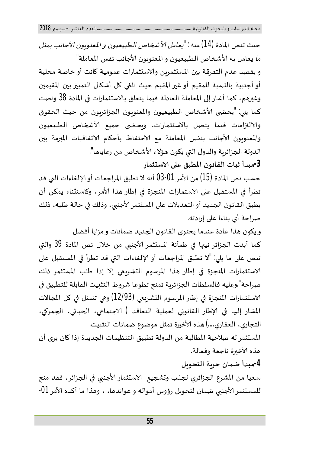حيث تنص المادة (14) منه *: "يعامل الأشخاص الطبيعيون و المعنوبون الأجانب بمثل* م*ا* يعامل به الأشخاص الطبيعيون و المعنوبون الأجانب نفس المعاملة" و يقصد عدم التفرقة بين المستثمربن والاستثمارات عمومية كانت أو خاصة محلية أو أجنبية بالنسبة للمقيم أو غير المقيم حيث تلغي كل أشكال التمييز بين المقيمين وغيرهم، كما أشار إلى المعاملة العادلة فيما يتعلق بالاستثمارات في المادة 38 ونصت كما يلي: "يحضى الأشخاص الطبيعيون والمعنوبون الجزائربون من حيث الحقوق والالتزامات فيما يتصل بالاستثمارات، وبحضى جميع الأشخاص الطبيعيون والمعنوبون الأجانب بنفس المعاملة مع الاحتفاظ بأحكام الاتفاقيات المبرمة بين الدولة الجزائربة والدول التي يكون هؤلاء الأشخاص من رعاياها". **-3مبدأࡧثباتࡧالقانونࡧالمطبقࡧعڴʄࡧטسȘثمار** 

حسب نص المادة (15) من الأمر 01-03 أنه لا تطبق المراجعات أو الإلغاءات التي قد تطرأ في المستقبل على الاستمارات المنجزة في إطار هذا الأمر، وكاستثناء يمكن أن يطبق القانون الجديد أو التعديلات على المستثمر الأجنبي، وذلك في حالة طلبه، ذلك صراحة أي بناءا على إرادته.

و يكون هذا عادة عندما يحتوي القانون الجديد ضمانات و مزايا أفضل كما أبدت الجزائر نيتها في طمأنة المستثمر الأجنبي من خلال نص المادة 39 والتي تنص على ما يلي: "لا تطبق المراجعات أو الإلغاءات التي قد تطرأ في المستقبل على لاستثمارات المنجزة في إطار هذا المرسوم التشريعي إلا إذا طلب المستثمر ذلك صراحة".وعليه فالسلطات الجزائربة تمنح تطوعا شروط التثبيت القابلة للتطبيق في الاستثمارات المنجزة في إطار المرسوم التشريعي (12/93) وهي تتمثل في كل المجالات المشار إليها في الإطار القانوني لعملية التعاقد ( الاجتماعي، الجمري ، الجمري، التجاري، العقاري....) هذه الأخيرة تمثل موضوع ضمانات التثبيت.

المستثمر له صلاحية المطالبة من الدولة تطبيق التنظيمات الجديدة إذا كان يرى أن هذه الأخبرة ناجعة وفعالة.

## **-4مبدأࡧضمانࡧحرʈةࡧالتحوʈل**

سعيا من المشرع الجزائري لجذب وتشجيع الاستثمار الأجنبي في الجزائر، فقد منح للمستثمر الأجنبي ضمان لتحويل رؤوس أمواله و عوائدها، ، وهذا ما أكده الأمر 01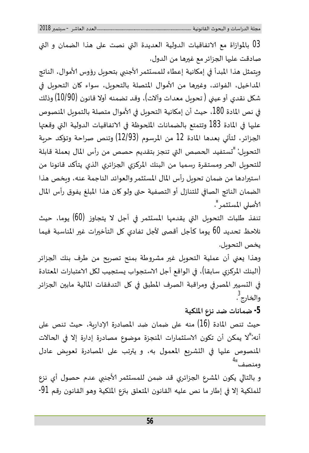03 بالموازاة ࢫمع ࢫטتفاقيات ࢫالدولية ࢫالعديدة ࢫالۘܣ ࢫنصت ࢫعڴʄ ࢫɸذا ࢫالضمان ࢫوࢫالۘܣࢫ صادقت عليها الجزائر مع غيرها من الدول.

وبتمثل هذا المبدأ في إمكانية إعطاء للمستثمر الأجنبي بتحويل رؤوس الأموال، الناتج المداخيل، الفوائد، وغيرها من الأموال المتصلة بالتحويل، سواء كان التحويل في شكل نقدي أو عيني ( تحويل معدات وآلات)، وقد تضمنه أولا قانون (10/90) وذلك في نص المادة 180، حيث أن إمكانية التحوىل في الأموال متصلة بالتمويل المنصوص عليها في المادة 183 وتتمتع بالضمانات الملحوظة في الاتفاقيات الدولية التي وقعيّا الجزائر، لتأتي بعدها المادة 12 من المرسوم (12/93) وتنص صراحة وتؤكد حربة التحوىل: "تستفيد الحصص التي تنجز بتقديم حصص من رأس المال بعملة قابلة للتحويل الحر ومستقرة رسميا من البنك المركزي الجزائري الذي يتأكد قانونا من استيرادها من ضمان تحويل رأس المال المستثمر والعوائد الناجمة عنه، ويخص هذا الضمان الناتج الصافي للتنازل أو التصفية حتى ولو كان هذا المبلغ يفوق رأس المال الأصلى المستثمر".

تنفذ طلبات التحوىل التي يقدمها المستثمر في أجل لا يتجاوز (60) يوما، حيث نلاحظ تحديد 60 يوما كأجل أقصى لأجل تفادي كل التأخيرات غير المناسبة فيما يخص التحويل.

وهذا يعني أن عملية التحويل غير مشروطة بمنح تصريح من طرف بنك الجزائر (البنك المركزي سابقا)، في الواقع أجل الاستجواب يستجيب لكل الاعتبارات المعتادة في التسيير المصرفي ومراقبة الصرف المطبق في كل التدفقات المالية مابين الجزائر والخارج<sup>3</sup>.

### **-5 ضماناتࡧضدࡧنزعࡧالملكية**

حيث تنص المادة (16) منه على ضمان ضد المصادرة الإداربة، حيث تنص على أنه:"لا يمكن أن تكون الاستثمارات المنجزة موضوع مصادرة إدارة إلا في الحالات المنصوص عليها في التشريع المعمول به، ويترتب على المصادرة تعويض عادل ومنصف<sup>4</sup>"

و بالتالي يكون المشرع الجزائري قد ضمن للمستثمر الأجنبي عدم حصول أي نزع للملكية إلا في إطار ما نص عليه القانون المتعلق بنزع الملكية وهو القانون رقم 91-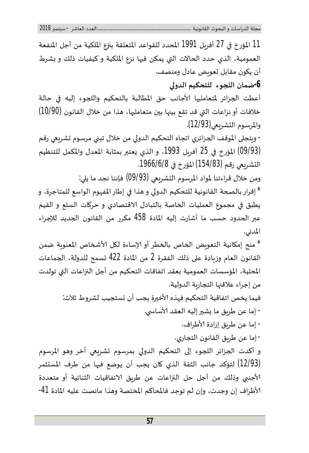11 المؤرخ في 27 أفريل 1991 المحدد للقواعد المتعلقة بنزع الملكية من أجل المنفعة العمومية، الذي حدد الحالات التي يمكن فيها نزع الملكية و كيفيات ذلك و بشرط أن يكون مقابل تعوبض عادل ومنصف. **-6ضمانࡧالݏݨوءࡧࡧللتحكيمࡧالدوڲʏ**  أعطت الجزائر لمتعامليها الأجانب حق المطالبة بالتحكيم واللجوء إليه في حالة خلافات أو نزاعات التي قد تقع بينها بين متعامليها، هذا من خلال القانون (10/90) والمرسوم التشريعي(12/93). - وبتجلى الموقف الجزائري اتجاه التحكيم الدولي من خلال تبني مرسوم تشريعي رقم (09/93) المؤرخ في 25 أفريل 1993، و الذي يعتبر بمثابة المعدل والمكمل للتنظيم التشريعي رقم (154/83) المؤرخ في 1966/6/8. ومن خلال قراءتنا لمواد المرسوم التشريعي (09/93) فإننا نجد ما يلي: \* إقرار بالصحة القانونية للتحكيم الدولي و هذا في إطار المفهوم الواسع للمتاجرة، و يطبق في مجموع العمليات الخاصة بالتبادل الاقتصادي و حركات السلع و القيم عبر الحدود حسب ما أشارت إليه المادة 458 مكرر من القانون الجديد للإجراء المدني. \* منح إمكانية التعويض الخاص بالخطر أو الإساءة لكل الأشخاص المعنوية ضمن القانون العام وزبادة على ذلك الفقرة 2 من المادة 422 تسمح للدولة، الجماعات المحلية، المؤسسات العمومية بعقد اتفاقات التحكيم من أجل النزاعات التي تولدت من إجراء علاقتها التجاربة الدولية. فيما يخص اتفاقية التحكيم فهذه الأخيرة يجب أن تستجيب لشروط ثلاث: - إما عن طربق ما يشير إليه العقد الأساسي. - إما عن طريق إرادة الأطراف. - إما عن طربق القانون التجاري. و أكدت الجزائر اللجوء إلى التحكيم الدولي بمرسوم تشريعي آخر وهو المرسوم (12/93) لتؤكد ࢫجانب ࢫالثقة ࢫالذي ࢫɠان ࢫيجب ࢫأن ࢫيوضع ࢫفٕڈا ࢫمن ࢫطرف ࢫالمسȘثمرࢫ الأجنبي وذلك من أجل حل النزاعات عن طربق الاتفاقيات الثنائية أو متعددة الأطراف إن وجدت، وإن لم توجد فالمحاكم المختصة وهذا مانصت عليه المادة 41-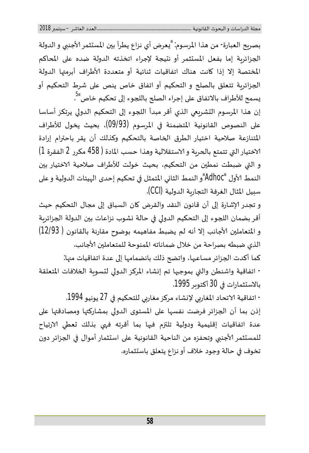بصربح العبارة- من هذا المرسوم: "يعرض أي نزاع يطرأ بين المستثمر الأجنبي و الدولة الجزائربة إما بفعل المستثمر أو نتيجة لإجراء اتخذته الدولة ضده على المحاكم المختصة إلا إذا كانت هناك اتفاقيات ثنائية أو متعددة الأطراف أبرمتها الدولة الجزائربة تتعلق بالصلح و التحكيم أو اتفاق خاص ينص على شرط التحكيم أو يسمح للأطراف بالاتفاق على إجراء الصلح باللجوء إلى تحكيم خاص"<sup>5</sup>.

إن هذا المرسوم التشريعي الذي أقر مبدأ اللجوء إلى التحكيم الدولي يرتكز أساسا على النصوص القانونية المتضمنة في المرسوم (09/93)، بحيث يخول للأطراف المتنازعة صلاحية اختيار الطرق الخاصة بالتحكيم وكذلك أن يقر باحترام إرادة الاختيار التي تتمتع بالحربة و الاستقلالية وهذا حسب المادة ( 458 مكرر 2 الفقرة 1) و التي ضبطت نمطين من التحكيم، بحيث خولت للأطراف صلاحية الاختيار بين النمط الأول "Adhoc"و النمط الثاني المتمثل في تحكيم إحدى الهيئات الدولية و على سبيل المثال الغرفة التجاربة الدولية (CCI).

و تجدر الإشارة إلى أن قانون النقد والقرض كان السباق إلى مجال التحكيم حيث أقر بضمان اللجوء إلى التحكيم الدولي في حالة نشوب نزاعات بين الدولة الجزائربة و المتعاملين الأجانب إلا أنه لم يضبط مفاهيمه بوضوح مقارنة بالقانون ( 12/93) الذي ضبطه بصراحة من خلال ضماناته الممنوحة للمتعاملين الأجانب.

كما أكدت الجزائر مساعيها، واتضح ذلك بانضمامها إلى عدة اتفاقيات منها: - اتفاقيةࢫواشنطنࢫوالۘܣࢫبموجّڈاࢫتمࢫإɲشاءࢫالمركزࢫالدوڲʏࢫلȘسوʈةࢫاݍݵلافاتࢫالمتعلقةࢫ بالاستثمارات في 30 أكتوبر 1995.

- اتفاقية الاتحاد المغاربي لإنشاء مركز مغاربي للتحكيم في 27 يونيو 1994. إذن بما أن الجزائر فرضت نفسها على المستوى الدولي بمشاركتها ومصادقتها على عدة اتفاقيات إقليمية ودولية تلتزم فيها بما أقرته فهي بذلك تعطي الارتياح للمستثمر الأجنبي وتحفزه من الناحية القانونية على استثمار أموال في الجزائر دون تخوف في حالة وجود خلاف أو نزاع يتعلق باستثماره.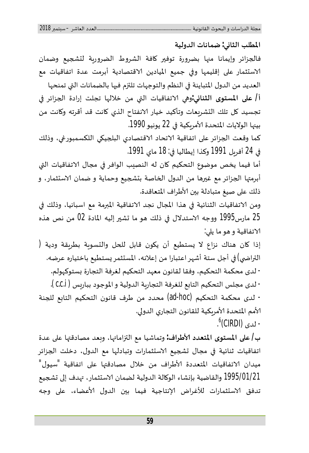#### **المطلبࡧالثاɲي: ضماناتࡧالدولية**

فالجزائر وإيمانا منها بضرورة توفير كافة الشروط الضروربة لتشجيع وضمان الاستثمار على إقليمها وفي جميع الميادين الاقتصادية أبرمت عدة اتفاقيات مع العديد من الدول المتباينة في النظم والتوجهات تلتزم فيها بالضمانات التي تمنحها أ**/ على المستوى الثنائي:وهي الاتفاقيات التي من خلالها تجلت إرادة الجزائر في** تجسيد كل تلك التشريعات وتأكيد خيار الانفتاح الذي كانت قد أقرته وكانت من بينها الولايات المتحدة الأمريكية في 22 يونيو 1990.

كما وقعت الجزائر على اتفاقية الاتحاد الاقتصادي البلجيكي اللكسمبورغي، وذلك في 24 أفرىل 1991 وكذا إيطاليا في: 18 ماي 1991.

أما فيما يخص موضوع التحكيم كان له النصيب الوافر في مجال الاتفاقيات التي أبرمتها الجزائر مع غيرها من الدول الخاصة بتشجيع وحماية و ضمان الاستثمار، و ذلك على صيغ متبادلة بين الأطراف المتعاقدة.

ومن الاتفاقيات الثنائية في هذا المجال نجد الاتفاقية المبرمة مع اسبانيا، وذلك في 25 مارس1995 ووجه الاستدلال في ذلك هو ما تشير إليه المادة 02 من نص هذه لاتفاقية و هو ما يلي:

إذا كان هناك نزاع لا يستطيع أن يكون قابل للحل والتسوبة بطربقة ودية ( التراضي) في أجل ستة أشهر اعتبارا من إعلانه، المستثمر يستطيع باختياره عرضه. - لدى محكمة التحكيم، وفقا لقانون معهد التحكيم لغرفة التجارة بستوكهولم. - لدى مجلس التحكيم التابع للغرفة التجاربة الدولية و الموجود بباربس (C.C.I.). - لدى ࢫمحكمة ࢫالتحكيم ࢫ(hoc-ad (محدد ࢫمن ࢫطرف ࢫقانون ࢫالتحكيم ࢫالتاȊع ࢫلݏݨنةࢫ الأمم المتحدة الأمربكية للقانون التجاري الدولي. - لدى (CIRDI)<sup>6</sup>.

**ب/ على المستوى المتعدد الأطراف: وتماشيا مع التزاماتها، وبعد مصادقتها على عدة** اتفاقيات ثنائية في مجال تشجيع الاستثمارات وتبادلها مع الدول، دخلت الجزائر ميدان الاتفاقيات المتعددة الأطراف من خلال مصادقتها على اتفاقية "سيول" 1995/01/21 والقاضية بإنشاء الوكالة الدولية لضمان الاستثمار،  $\omega$ دف إلى تشجيع تدفق الاستثمارات للأغراض الإنتاجية فيما بين الدول الأعضاء، على وجه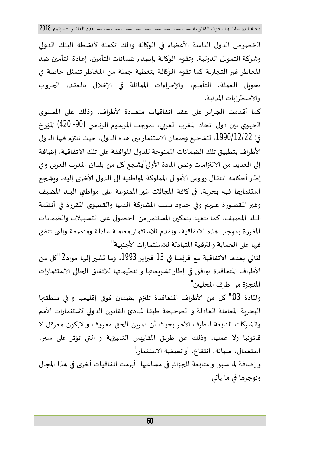الخصوص الدول النامية الأعضاء في الوكالة وذلك تكملة لأنشطة البنك الدولي وشركة التمويل الدولية، وتقوم الوكالة بإصدار ضمانات التأمين، إعادة التأمين ضد المخاطر غير التجاربة كما تقوم الوكالة بتغطية جملة من المخاطر تتمثل خاصة في تحويل العملة، التأميم، والإجراءات المماثلة في الإخلال بالعقد، الحروب وטضطراباتࢫالمدنية.

كما أقدمت الجزائر على عقد اتفاقيات متعددة الأطراف، وذلك على المستوى الجهوي بين دول اتحاد المغرب العربي، بموجب المرسوم الرئاسي (90- 420) المؤرخ في: 1990/12/22، لتشجيع وضمان الاستثمار بين هذه الدول، حيث تلتزم فيها الدول الأطراف بتطبيق تلك الضمانات الممنوحة للدول الموافقة على تلك الاتفاقية، إضافة إلى العديد من الالتزامات ونص المادة الأولى"يشجع كل من بلدان المغرب العربي وفي إطار أحكامه انتقال رؤوس الأموال المملوكة لمواطنيه إلى الدول الأخرى إليه، وبشجع استثمارها فيه بحربة، في كافة المجالات غير الممنوعة على مواطني البلد المضيف وغير المقصورة عليهم وفي حدود نسب المشاركة الدنيا والقصوى المقررة في أنظمة البلد المضيف، كما تتعهد بتمكين المستثمر من الحصول على التسهيلات والضمانات المقررة بموجب هذه الاتفاقية، وتقدم للاستثمار معاملة عادلة ومنصفة والتي تتفق فيها على الحماية والترقية المتبادلة للاستثمارات الأجنبية"

لتأتي بعدها الاتفاقية مع فرنسا في 13 فبراير 1993، وما تشير إليها مواد2 "كل من الأطراف المتعاقدة توافق في إطار تشريعاتها و تنظيماتها للاتفاق الحالي الاستثمارات المنجزة من طرف المحليين"

والمادة ون". كل من الأطراف المتعاقدة تلتزم بضمان فوق إقليمها و في منطقتها البحربة المعاملة العادلة و الصحيحة طبقا لمبادئ القانون الدولي لاستثمارات الأمم والشركات التابعة للطرف الآخر بحيث أن تمربن الحق معروف و لايكون معرقل لا قانونيا ولا عمليا، وذلك عن طربق المقاييس التمييزية و التي تؤثر على سير، استعمال، صيانة، انتفاع، أو تصفية الاستثمار."

و إضافة لما سبق و متابعة للجزائر في مساعيها . أبرمت اتفاقيات أخرى في هذا المجال ونوجزها في ما يأتي: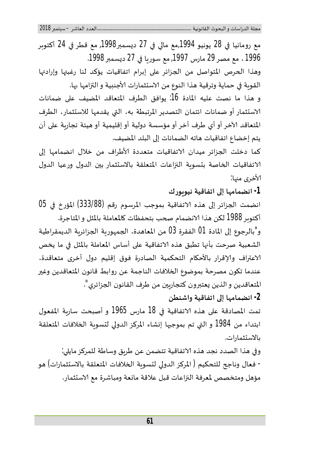مع رومانيا في 28 يونيو 1994,مع مالي في 27 ديسمبر1998, مع قطر في 24 أكتوبر 1996 ،ࢫمعࢫمصرࢫ29 مارسࢫ,1997 معࢫسورʈاࢫࢭʏࢫ27 دʇسمفࢫ.1998 وهذا الحرص المتواصل من الجزائر على إبرام اتفاقيات يؤكد لنا رغبتها وإرادتها القوبة في حماية وترقية هذا النوع من الاستثمارات الأجنبية و التزامها بها. و هذا ما نصت عليه المادة 16: يوافق الطرف المتعاقد المضيف على ضمانات الاستثمار أو ضمانات ائتمان التصدير المرتبطة به، التي يقدمها للاستثمار، الطرف المتعاقد الآخر أو أي طرف آخر أو مؤسسة دولية أو إقليمية أو هيئة تجاربة على أن يتم إخضاع اتفاقيات هاته الضمانات إلى البلد المضيف. كما دخلت الجزائر ميدان الاتفاقيات متعددة الأطراف من خلال انضمامها إلى الاتفاقيات الخاصة بتسوية النزاعات المتعلقة بالاستثمار بين الدول ورعيا الدول لأخرى منها: **-1 انضمامɺاࡧإڲʄࡧاتفاقيةࡧنيوʈورك**  انضمت الجزائر إلى هذه الاتفاقية بموجب المرسوم رقم (333/88) المؤرخ في 05 أكتوبر 1988 لكن هذا الانضمام صحب بتحفظات كالمعاملة بالمثل و المتاجرة.

و"بالرجوع إلى المادة 01 الفقرة 03 من المعاهدة، الجمهورية الجزائرية الديمقراطية الشعبية صرحت بأنها تطبق هذه الاتفاقية على أساس المعاملة بالمثل في ما يخص الاعتراف والإقرار بالأحكام التحكمية الصادرة فوق إقليم دول أخرى متعاقدة، عندما تكون مصرحة بموضوع الخلافات الناجمة عن روابط قانون المتعاقدين وغير المتعاقدين و الذين يعتبرون كتجاربين من طرف القانون الجزائري".

**-2 انضمامɺاࡧإڲʄࡧاتفاقيةࡧواشنطن** 

تمت المصادقة على هذه الاتفاقية في 18 مارس 1965 و أصبحت ساربة المفعول ابتداء من 1984 و التي تم بموجيها إنشاء المركز الدولي لتسوية الخلافات المتعلقة بالاسȘثمارات.

وفي هذا الصدد نجد هذه الاتفاقية تتضمن عن طريق وساطة للمركز مايلي: - فعال وناجح للتحكيم ( المركز الدولي لتسوية الخلافات المتعلقة بالاستثمارات) هو مؤهل ومتخصص لمعرفة النزاعات قبل علاقة مانعة ومباشرة مع الاستثمار.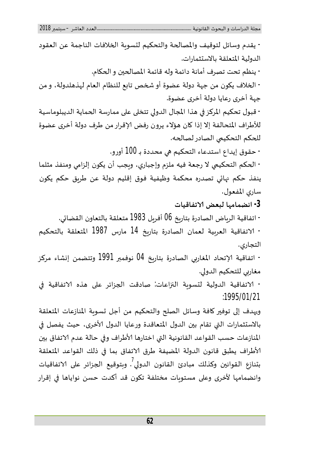- يقدمࢫوسائلࢫلتوقيفࢫوالمصاݍݰةࢫوالتحكيمࢫلȘسوʈةࢫاݍݵلافاتࢫالناجمةࢫعنࢫالعقودࢫ الدولية المتعلقة بالاستثمارات. - ينظم تحت تصرف أمانة دائمة وله قائمة المصالحين و الحكام. - الخلاف يكون من جهة دولة عضوة أو شخص تابع للنظام العام لهذهلدولة، و من جهة أخرى رعايا دولة أخرى عضوة. - قبول تحكيم المركز في هذا المجال الدولي تتخلى على ممارسة الحماية الديبلوماسية للأطراف المتحالفة إلا إذا كان هؤلاء يرون رفض الإقرار من طرف دولة أخرى عضوة للحكم التحكيمي الصادر لصالحه. - حقوق إيداع استدعاء التحكيم هي محددة بـ 100 أورو. - الحكم التحكيمي لا رجعة فيه ملزم وإجباري، وبجب أن يكون إلزامي ومنفذ مثلما ينفذ حكم نهائي تصدره محكمة وظيفية فوق إقليم دولة عن طربق حكم يكون ساري المفعول. **-3 انضمامɺاࡧلبعضࡧטتفاقيات** - اتفاقية الرباض الصادرة بتاريخ 06 أفربل 1983 متعلقة بالتعاون القضائي. - טتفاقية ࢫالعرȋية ࢫلعمان ࢫالصادرة ࢫبتارʈخ ࢫ14 مارس ࢫ1987 المتعلقة ࢫبالتحكيمࢫ التجاري . - اتفاقية الإتحاد المغاربي الصادرة بتاريخ 04 نوفمبر 1991 وتتضمن إنشاء مركز مغاربي للتحكيم الدولي. - טتفاقية ࢫالدولية ࢫلȘسوʈة ࢫال؇قاعات: صادقت ࢫاݍݨزائر ࢫعڴʄ ࢫɸذه ࢫטتفاقية ࢫࢭʏࢫ :1995/01/21 ويهدف إلى توفير كافة وسائل الصلح والتحكيم من أجل تسوبة المنازعات المتعلقة بالاستثمارات التي تقام بين الدول المتعاقدة ورعايا الدول الأخرى، حيث يفصل في المنازعات حسب القواعد القانونية التي اختارها الأطراف وفي حالة عدم الاتفاق بين כطراف ࢫيطبق ࢫقانون ࢫالدولة ࢫالمضيفة ࢫطرق ࢫטتفاق ࢫبما ࢫࢭʏ ࢫذلك ࢫالقواعد ࢫالمتعلقةࢫ بتنازع القوانين وكذلك مبادئ القانون الدولي<sup>7</sup>. وبتوقيع الجزائر على الاتفاقيات وانضمامها لأخرى وعلى مستوبات مختلفة تكون قد أكدت حسن نواياها في إقرار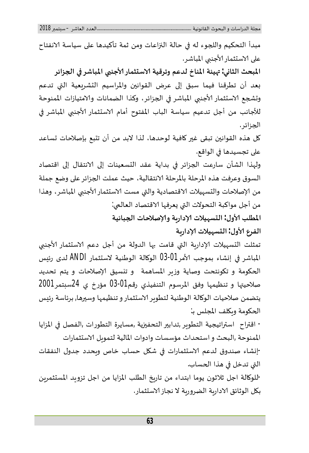مبدأ التحكيم واللجوء له في حالة النزاعات ومن ثمة تأكيدها على سياسة الانفتاح على الاستثمار الأجنبي المباشر.

المبحث الثاني: مهيئة المناخ لدعم وترقية الاستثمار الأجنبي المباشر في الجزائر بعد أن تطرقنا فيما سبق إلى عرض القوانين والمراسيم التشربعية التي تدعم وتشجع الاستثمار الأجنبى المباشر في الجزائر، وكذا الضمانات والامتيازات الممنوحة للأجانب من أجل تدعيم سياسة الباب المفتوح أمام الاستثمار الأجنبي المباشر في الجزائر .

كل هذه القوانين تبقى غير كافية لوحدها، لذا لابد من أن تتبع بإصلاحات تساعد على تجسيدها في الواقع.

ولهذا الشأن سارعت الجزائر في بداية عقد التسعينات إلى الانتقال إلى اقتصاد السوق وعرفت هذه المرحلة بالمرحلة الانتقالية، حيث عملت الجزائر على وضع جملة من الإصلاحات والتسهيلات الاقتصادية والتي مست الاستثمار الأجنبي المباشر، وهذا من أجل مواكبة التحولات التي يعرفها الاقتصاد العالمي: **المطلبࡧכول : الȘسɺيلاتࡧלدارʈةࡧوלصلاحاتࡧاݍݨبائية** 

**الفرعࡧכول : الȘسɺيلاتࡧלدارʈة** 

تمثلت التسہيلات الإداربة التي قامت بها الدولة من أجل دعم الاستثمار الأجنبي المباشر في إنشاء بموجب الأمر03-03 الوكالة الوطنية لاستثمار ANDI لدى رئيس الحكومة و تكونتحت وصاية وزبر المساهمة وتنسيق الإصلاحات و يتم تحديد صلاحيتها و تنظيمها وفق المرسوم التنفيذي رقم01-03 مؤرخ ي 24سبتمر2001 يتضمن صلاحيات الوكالة الوطنية لتطوير الاستثمار و تنظيمها وسيرها, برئاسة رئيس الحكومة وبكلف المجلس بـ:

- اقفاحࢫࢫاسفاتيجيةࢫالتطوʈرࢫ,تداب؈فࢫالتحف؈قيةࢫ,مسايرةࢫالتطوراتࢫ,الفصلࢫࢭʏࢫالمزاياࢫ الممنوحة ,البحث و استحداث مؤسسات وادوات المالية لتموىل الاستثمارات

-إنشاء صندوق لدعم الاستثمارات في شكل حساب خاص وبحدد جدول النفقات التي تدخل في هذا الحساب.

-للوكالة اجل ثلاثون يوما ابتداء من تاريخ الطلب المزايا من اجل تزويد المستثمرين بكل الوثائق الاداربة الضروربة لا نجاز الاستثمار.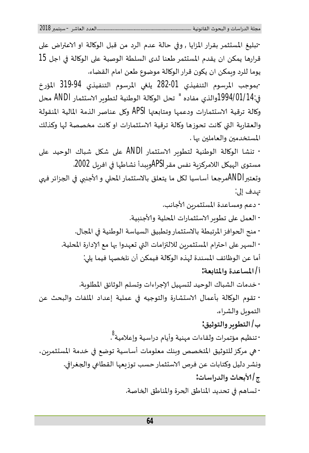-تبليغ المستثمر بقرار المزايا , وفي حالة عدم الرد من قبل الوكالة او الاعتراض على<br>قرارها يمكن ان يقدم المستثمر طعنا لدى السلطة الوصية على الوكالة في اجل 15 يوما للرد وبمكن ان يكون قرار الوكالة موضوع طعن امام القضاء. في:1994/01/14والذي مفاده " تحل الوكالة الوطنية لتطوير الاستثمار ANDI محل -بموجب المرسوم التنفيذي 01-282 يلغي المرسوم التنفيذي 94-319 المؤرخ وكالة ترقية الاستثمارات ودعمها ومتابعتها APSI وكل عناصر الذمة المالية المنقولة والعقاربة التي كانت تحوزها وكالة ترقية الاستثمارات او كانت مخصصة لها وكذلك المستخدمين والعاملين بها . - تɴشا ࢫالوɠالة ࢫالوطنية ࢫلتطوʈرࢫטسȘثمار ࢫANDI عڴʄ ࢫشɢل ࢫشباك ࢫالوحيد ࢫعڴʄࢫ مستوى الهيكل اللامركزبة نفس مقرAPSIوببدأ نشاطها في افرىل 2002. وتعتبرANDIمرجعا أساسيا لكل ما يتعلق بالاستثمار المحلى و الأجنبي في الجزائر فهي تهدف إلى: - دعم ومساعدة المستثمرين الأجانب. - العمل على تطوير الاستثمارات المحلية والأجنبية. - منح الحوافز المرتبطة بالاستثمار وتطبيق السياسة الوطنية في المجال. - السهر على احترام المستثمرين للالتزامات التي تعهدوا بها مع الإدارة المحلية. أما عن الوظائف المسندة لهذه الوكالة فيمكن أن نلخصها فيما يلي: **أ/ المساعدةࡧوالمتاȊعة:**  - خدمات الشباك الوحيد لتسهيل الإجراءات وتسلم الوثائق المطلوبة. - تقوم الوكالة بأعمال الاستشارة والتوجيه في عملية إعداد الملفات والبحث عن التموبل والشراء. **ب/ التطوʈرࡧوالتوثيق:**  - تنظيم مؤتمرات ولقاءات مهنية وأيام دراسية وإعلامية<sup>8</sup> . - هي مركز للتوثيق المتخصص وبنك معلومات أساسية توضع في خدمة المستثمرين، ونشر دليل وكتابات عن فرص الاستثمار حسب توزىعها القطاعي والجغرافي. **ج/ כبحاثࡧوالدراسات:**  - تساهم في تحديد المناطق الخدرة والمناطق الخاصة.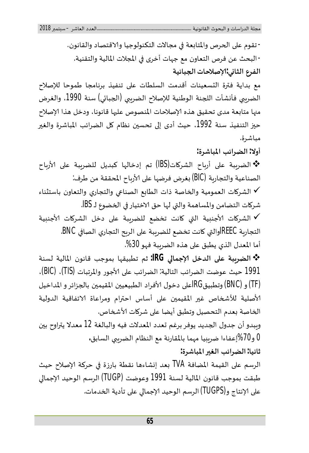- تقوم على الحرص والمتابعة في مجالات التكنولوجيا والاقتصاد والقانون. -البحث عن فرص التعاون مع جهات أخرى في المجلات المالية والتقنية. **الفرعࡧالثاɲي:לصلاحاتاݍݨبائية** 

مع بداية فترة التسعينات أقدمت السلطات على تنفيذ برنامجا طموحا للإصلاح الضربي فأنشأت اللجنة الوطنية للإصلاح الضربي (الجبائي) سنة 1990، والغرض منها متابعة مدى تحقيق هذه الإصلاحات المنصوص عليها قانونا، ودخل هذا الإصلاح حيز التنفيذ سنة 1992، حيث أدى إلى تحسين نظام كل الضرائب المباشرة والغير مباشرة.

**أولا: الضرائبࡧالمباشرة:** 

الضرʈبة ࢫعڴʄ ࢫأرȋاح ࢫالشرɠات(IBS (تم ࢫإدخالɺا ࢫكبديل ࢫللضرʈبة ࢫعڴʄ ࢫכرȋاحࢫ الصناعية والتجاربة (BIC) بغرض فرضها على الأرباح المحققة من طرف:

√ الشركات العمومية والخاصة ذات الطابع الصناعي والتجاري والتعاون باستثناء شركات التضامن والمساهمة والتي لها حق الاختيار في الخضوع لـ BS.

び الشركات الأجنبية التي كانت تخضع للضربِبة على دخل الشركات الأجنبية التجاربة REECوالتي كانت تخضع للضربِبة على الربح التجاري الصافي BNC. أما المعدل الذي يطبق على هذه الضرببة فهو 30%.

**الضرʈبة ࡧعڴʄ ࡧالدخل ࡧלجماڲʏ ࡧIRG:** ثم ࢫتطبيقɺا ࢫبموجب ࢫقانون ࢫالمالية ࢫلسنةࢫ 1991 حيث عوضت الضرائب التالية: الضرائب على الأجور والمرتبات (TIS)، (BIC). (TF) و IRGاعلى دخول الأفراد الطبيعيين المقيمين بالجزائر و المداخيل (BNC الأصلية للأشخاص غير المقيمين على أساس احترام ومراعاة الاتفاقية الدولية الخاصة بعدم التحصيل وتطبق أيضا على شركات الأشخاص.

وببدو أن جدول الجديد يوفر برغم تعدد المعدلات فيه والبالغة 12 معدلا يتراوح بين 0 و%70إعفاءاࢫضرȎʈياࢫمɺماࢫبالمقارنةࢫمعࢫالنظامࢫالضرʈۗܣࢫالسابق**. ثانيا: الضرائبࡧالغ؈فࡧالمباشرة:** 

الرسم على القيمة المضافة TVA بعد إنشاءها نقطة بارزة في حركة الإصلاح حيث طبقت بموجب قانون المالية لسنة 1991 وعوضت (TUGP) الرسم الوحيد الإجمالي على الإنتاج و (TUGPS) الرسم الوحيد الإجمالي على تأدية الخدمات.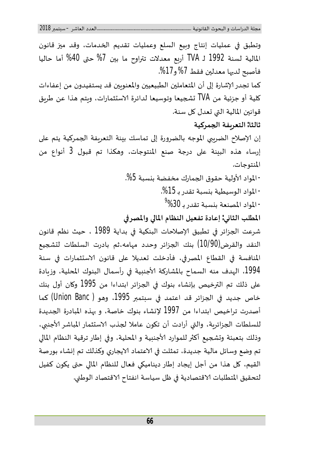وتطبق في عمليات إنتاج وبيع السلع وعمليات تقديم الخدمات، وقد ميز قانون المالية ࢫلسنة ࢫ1992 لـ ࢫTVA أرȌع ࢫمعدلات ࢫتفاوح ࢫما ࢫب؈ن ࢫ%7 حۘܢ ࢫ%40 أما ࢫحالياࢫ فأصبح لديها معدلين فقط 7% و17%. كما تجدر الإشارة إلى أن المتعاملين الطبيعيين والمعنوبين قد يستفيدون من إعفاءات كلية أو جزئية من TVA تشجيعا وتوسيعا لدائرة الاستثمارات، ويتم هذا عن طريق قوانين المالية التي تعدل كل سنة. **ثالثا: التعرʈفةࡧاݍݨمركية**  إن الإصلاح الضربيي الموجه بالضرورة إلى تماسك بينة التعريفة الجمركية يتم على إرساء هذه البينة على درجة صنع المنتوجات، وهكذا تم قبول 3 أنواع من المنتوجات. - المواد الأولية حقوق الجمارك مخفضة بنسبة 5%. - المواد الوسيطية بن*س*بة تقدر بـ 15%. - المواد المصنعة بنسبة تقدر بـ 30% المطلب الثاني: إعادة تفعيل النظام المالي والمصرفي شرعت الجزائر في تطبيق الإصلاحات البنكية في بداية 1989 ، حيث نظم قانون النقد والقرض(10/90) بنك الجزائر وحدد مهامه،ثم بادرت السلطات لتشجيع المنافسة في القطاع المصرفي، فأدخلت تعديلا على قانون الاستثمارات في سنة 1994، الهدف منه السماح بالمشاركة الأجنبية في رأسمال البنوك المحلية، وزبادة على ذلك تم الترخيص بإنشاء بنوك في الجزائر ابتداءا من 1995 وكان أول بنك خاص جديد في الجزائر قد اعتمد في سبتمبر 1995، وهو ( Union Banc) كما أصدرت تراخيص ابتداءا من 1997 لإنشاء بنوك خاصة، و بهذه المبادرة الجديدة للسلطات الجزائرية، والتي أرادت أن تكون عاملا لجذب الاستثمار المباشر الأجنبي، وذلك بتعبئة وتشجيع أكثر للموارد الأجنبية و المحلية، وفي إطار ترقية النظام المالي تم وضع وسائل مالية جديدة، تمثلت في الاعتماد الايجاري وكذلك تم إنشاء بورصة القيم، كل هذا من أجل إيجاد إطار ديناميكي فعال للنظام المالي حتى يكون كفيل لتحقيق المتطلبات الاقتصادية في ظل سياسة انفتاح الاقتصاد الوطني.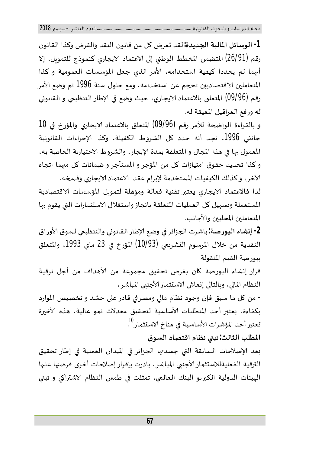**-1 الوسائلࡧالماليةࡧاݍݨديدة:** لقدࢫȖعرضࢫɠلࢫمنࢫقانون النقدࢫوالقرضࢫوكذاࢫالقانونࢫ رقم (26/91) المتضمن المخطط الوطني إلى الاعتماد الايجاري كنموذج للتمويل، إلا أنهما لم يحددا كيفية استخدامه، الأمر الذي جعل المؤسسات العمومية و كذا المتعاملين الاقتصاديين تحجم عن استخدامه، ومع حلول سنة 1996 تم وضع الأمر رقم (09/96) المتعلق بالاعتماد الايجاري، حيث وضع في الإطار التنظيمي و القانوني له ورفع العراقيل المعيقة له.

و بالقراءة الواضحة للأمر رقم (09/96) المتعلق بالاعتماد الايجاري والمؤرخ في 10 جانفي 1996، نجد أنه حدد كل الشروط الكفيلة، وكذا الإجراءات القانونية المعمول بها في هذا المجال و المتعلقة بمدة الإيجار، والشروط الاختياربة الخاصة به، و كذا تحديد حقوق امتيازات كل من المؤجر و المستأجر و ضمانات كل منهما اتجاه الآخر، وكذلك الكيفيات المستخدمة لإبرام عقد الاعتماد الايجاري وفسخه.

لذا فالاعتماد الايجاري يعتبر تقنية فعالة ومؤهلة لتموىل المؤسسات الاقتصادية المستعملة وتسهيل كل العمليات المتعلقة بانجاز واستغلال الاستثمارات التي يقوم بها المتعاملين المحليين والأجانب.

**-2 إɲشاءࡧالبورصة:** باشرتࢫاݍݨزائرࢫࢭʏࢫوضعࢫלطارࢫالقانوɲيࢫوالتنظيܣࢫلسوقࢫכوراقࢫ النقدية من خلال المرسوم التشريعي (10/93) المؤرخ في 23 ماي 1993، والمتعلق ببورصةࢫالقيمࢫالمنقولة.

قرار إنشاء البورصة كان بغرض تحقيق مجموعة من الأهداف من أجل ترقية النظام المالي، وبالتالي إنعاش الاستثمار الأجنبي المباشر،

- من كل ما سبق فإن وجود نظام مالي ومصرفي قادر على حشد و تخصيص الموارد بكفاءة، يعتبر أحد المتطلبات الأساسية لتحقيق معدلات نمو عالية، هذه الأخيرة تعتبر أحد المؤشرات الأساسية في مناخ الاستثمار<sup>10</sup> .

**المطلبࡧالثالث: تبۚܣࡧنظامࡧاقتصادࡧالسوق**

بعد الإصلاحات السابقة التى جسدتها الجزائر فى الميدان العملية في إطار تحقيق الترقية الفعليةللاستثمار الأجنبي المباشر، بادرت بإقرار إصلاحات أخرى فرضتها عليها الهيئات الدولية الكبرىو البنك العالمي، تمثلت في طمس النظام الاشتراكي و تبني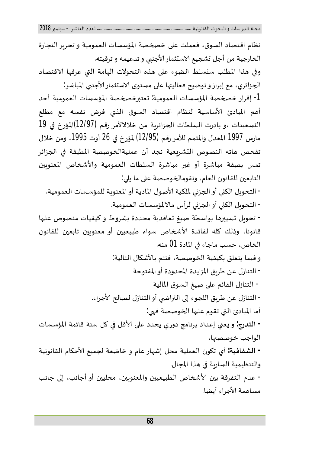نظام اقتصاد السوق، فعملت على خصخصة المؤسسات العمومية و تحرير التجارة الخارجية من أجل تشجيع الاستثمار الأجنبي و تدعيمه و ترقيته. وفي هذا المطلب سنسلط الضوء على هذه التحولات الهامة التي عرفها الاقتصاد الجزائري، مع إبراز و توضيح فعاليتها على مستوى الاستثمار الأجنبي المباشر: 1- إقرار خصخصة المؤسسات العمومية: تعتبرخصخصة المؤسسات العمومية أحد أهم المبادئ الأساسية لنظام اقتصاد السوق الذي فرض نفسه مع مطلع التسعينات ،و بادرت السلطات الجزائربة من خلالالأمر رقم (12/97)المؤرخ في 19 مارس 1997 المعدل والمتمم للأمر رقم (12/95)المؤرخ في 26 أوت 1995، ومن خلال تفحص هاته النصوص التشرىعية نجد أن عمليةالخوصصة المطبقة في الجزائر تمس بصفة مباشرة أو غير مباشرة السلطات العمومية والأشخاص المعنوبين التابعين للقانون العام، وتقومالخوصصة على ما يلي: - التحويل الكلى أو الجزئي لملكية الأصول المادية أو المعنوبة للمؤسسات العمومية. - التحويل الكلى أو الجزئي لرأس مالالمؤسسات العمومية. - تحويل تسييرها بواسطة صيغ تعاقدية محددة بشروط و كيفيات منصوص عليها قانونا، وذلك كله لفائدة الأشخاص سواء طبيعيين أو معنوبين تابعين للقانون الخاص، حسب ماجاء في المادة 01 منه. و فيما يتعلق بكيفية الخوصصة، فتتم بالأشكال التالية: - التنازل عن طريق المزايدة المحدودة أو المفتوحة – التنازل القائم على صيغ السوق المالية - التنازل عن طربق اللجوء إلى التراضي أو التنازل لصالح الأجراء. أما المبادئ التي تقوم عليها الخوصصة فهي: **- التدرج:** وࢫʇعۚܣࢫإعدادࢫبرنامجࢫدوريࢫيحددࢫعڴʄࢫכقلࢫࢭʏࢫɠلࢫسنةࢫقائمةࢫالمؤسساتࢫ الواجب خوصصتها. **- الشفافية:** أيࢫتɢون ࢫالعمليةࢫمحلࢫإشɺارࢫعامࢫوࢫخاضعةࢫݍݨميعࢫכحɢامࢫالقانونيةࢫ والتنظيمية الساربة في هذا المجال. - عدم التفرقة بين الأشخاص الطبيعيين والمعنوبين، محليين أو أجانب، إلى جانب مساهمة الأجراء أيضا.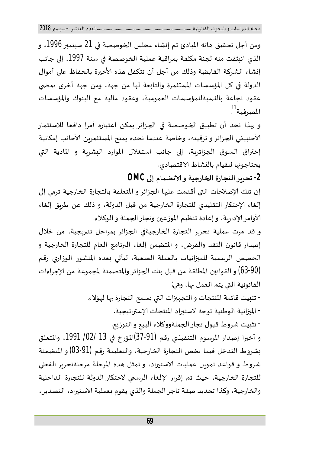ومن أجل تحقيق هاته المبادئ تم إنشاء مجلس الخوصصة في 21 سبتمبر 1996، و الذي انبثقت منه لجنة مكلفة بمراقبة عملية الخوصصة في سنة 1997، إلى جانب إنشاء الشركة القابضة وذلك من أجل أن تتكفل هذه الأخيرة بالحفاظ على أموال الدولة في كل المؤسسات المستثمرة والتابعة لها من جهة، ومن جهة أخرى تمضي عقود نجاعة بالنسبةللمؤسسات العمومية، وعقود مالية مع البنوك والمؤسسات المصرفية<sup>11</sup> .

و بهذا نجد أن تطبيق الخوصصة في الجزائر يمكن اعتباره أمرا دافعا للاستثمار الأجنبيفي الجزائر و ترقيته، وخاصة عندما نجده يمنح المستثمربن الأجانب إمكانية إختراق السوق الجزائرية، إلى جانب استغلال الموارد البشرية و المادية التي يحتاجونها للقيام بالنشاط الاقتصادي.

**-2 تحرʈرࡧالتجارةࡧاݍݵارجيةࡧوࡧטنضمامࡧإڲʄࡧOMC**

إن تلك الإصلاحات التي أقدمت عليها الجزائر و المتعلقة بالتجارة الخارجية ترمي إلى إلغاء الإحتكار التقليدي للتجارة الخارجية من قبل الدولة، و ذلك عن طريق إلغاء الأوامر الإداربة، و إعادة تنظيم الموزعين وتجار الجملة و الوكلاء.

و قد مرت عملية تحربر التجارة الخارجيةفي الجزائر بمراحل تدربجية، من خلال إصدار قانون النقد والقرض، و المتضمن إلغاء البرنامج العام للتجارة الخارجية و الحصص الرسمية للميزانيات بالعملة الصعبة، ليأتي بعده المنشور الوزاري رقم (53-90) و القوانين المطلقة من قبل بنك الجزائر والمتضمنة لمجموعة من الإجراءات القانونية التي يتم العمل بها، وهي:

- تثبيت قائمة المنتجات و التجهيزات التي يسمح التجارة بها لهؤلاء.

- الميزانية الوطنية توجه لاستيراد المنتجات الإستراتيجية.

- تثليت شروط قبول تجار الجملةووكلاء البيع و التوزيع.

و أخيرا إصدار المرسوم التنفيذي رقم (31-37)المؤرخ في 13 /02/ 1991، والمتعلق بشروط التدخل فيما يخص التجارة الخارجية، والتعليمة رقم (91-03) و المتضمنة شروط و قواعد تموىل عمليات الاستيراد، و تمثل هذه المرحلة مرحلةتحرير الفعلى للتجارة الخارجية، حيث تم إقرار الإلغاء الرسمي لاحتكار الدولة للتجارة الداخلية والخارجية، وكذا تحديد صفة تاجر الجملة والذي يقوم بعملية الاستيراد، التصدير،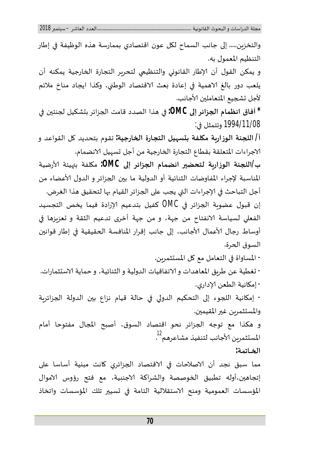والتخزين..... إلى جانب السماح لكل عون اقتصادي بممارسة هذه الوظيفة في إطار التنظيم المعمول به.

و يمكن القول أن الإطار القانوني والتنظيمي لتحرير التجارة الخارجية يمكنه أن يلعب دور بالغ الاهمية في إعادة بعث الاقتصاد الوطني، وكذا ايجاد مناخ ملائم لأجل تشجيع المتعاملين الأجانب.

**\* آفاقࡧانظمامࡧاݍݨزائرࡧإڲʄࡧOMC:** ࢭʏࢫɸذاࢫالصددࢫقامتࢫاݍݨزائرࢫبȘشكيلࢫݍݨنت؈نࢫࢭʏࢫ 1994/11/08 وتتمثلࢫࢭʏ:

**أ/ الݏݨنةࡧالوزارʈةࡧمɢلفةࡧبȘسɺيلࡧالتجارةࡧاݍݵارجية:** تقومࢫبتحديدࢫɠلࢫالقواعدࢫوࢫ الاجراءات المتعلقة بقطاع التجارة الخارجية من أجل ت*س*هيل الانضمام.

**ب/الݏݨنة ࡧالوزارʈة ࡧلتحض؈ف ࡧانضمام ࡧاݍݨزائرࡧإڲʄ ࡧOMC:** مɢلفة ࢫبْڈيئة ࢫכرضيةࢫ المناسبة لإجراء المفاوضات الثنائية أو الدولية ما بين الجزائر و الدول الأعضاء من أجل التباحث في الإجراءات التي يجب على الجزائر القيام بها لتحقيق هذا الغرض.

إن قبول عضوبة الجزائر في OMC كفيل بتدعيم الإرادة فيما يخص التجسيد الفعلى لسياسة الانفتاح من جهة، و من جهة أخرى تدعيم الثقة و تعزيزها في أوساط رجال الأعمال الأجانب، إلى جانب إقرار المنافسة الحقيقية في إطار قوانين السوق الحرة.

- المساواة في التعامل مع كل المستثمربن.

- تغطية عن طربق المعاهدات و الاتفاقيات الدولية و الثنائية، و حماية الا*س*تثمارات. - إمكانية الطعن الإداري.

- إمɢانية ࢫالݏݨوء ࢫإڲʄ ࢫالتحكيم ࢫالدوڲʏ ࢫࢭʏ ࢫحالة ࢫقيام ࢫنزاع ࢫب؈ن ࢫالدولة ࢫاݍݨزائرʈةࢫ والمستثمربن غير المقيمين.

و هكذا مع توجه الجزائر نحو اقتصاد السوق، أصبح المجال مفتوحا أمام المستثمرين الأجانب لتنفيذ مشاعرهم<sup>12</sup> .

**اݍݵــاتمة:**

مما سبق نجد أن الاصلاحات في الاقتصاد الجزائري كانت مبنية أساسا على إتجاهين،أوله تطبيق الخوصصة والشراكة الاجنبية، مع فتح رؤوس الاموال المؤسسات العمومية ومنح الاستقلالية التامة في تسيير تلك المؤسسات واتخاذ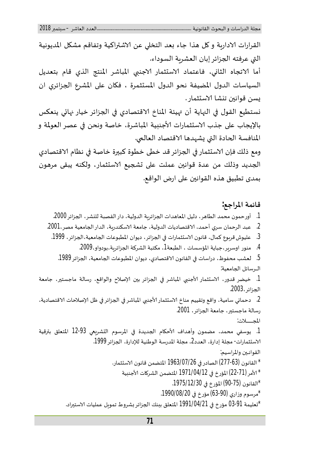القرارات الاداربة و كل هذا جاء بعد التخلي عن الاشتراكية وتفاقم مشكل المديونية التي عرفته الجزائر إبان العشربة السوداء. أما الاتجاه الثاني، فاعتماد الاستثمار الاجنبي المباشر المنتج الذي قام بتعديل السياسات الدول المضيفة نحو الدول المستثمرة ، فكان على المشرع الجزائري ان يسن قوانين تنشا الاستثمار . نستطيع القول في النهاية أن  $_2$ يئة المناخ الاقتصادي في الجزائر خيار نهائي ينعكس بالإيجاب على جذب الاستثمارات الأجنبية المباشرة، خاصة ونحن في عصر العولمة و المنافسة الحادة التي يشهدها الاقتصاد العالمي. ومع ذلك فإن الاستثمار في الجزائر قد خطى خطوة كبيرة خاصة في نظام الاقتصادي الجديد وذلك من عدة قوانين عملت على تشجيع الاستثمار، ولكنه يبقى مرهون بمدىࢫتطبيقࢫɸذهࢫالقوان؈نࢫعڴʄࢫارضࢫالواقع. **قائمةࡧالمراجع:** 

1. أورحمون محمد الطاهر، دليل المعاهدات الجزائربة الدولية، دار القصبة للنشر، الجزائر 2000.

- . عبد الرحمان سري أحمد، الاقتصاديات الدولية، جامعة الاسكندربة، الدار الجامعية مصر،2001.
	- .<br>3. عليوش قربوع كمال، قانون الاستثمارات في الجزائر، ديوان المطبوعات الجامعية،الجزائر، 1999.

4. منور اوسربر،جباية المؤسسات ، الطبعة1، مكتبة الشركة الجزائربة،بودواو،2009.

5. لعشب محفوظ، دراسات في القانون الاقتصادي، ديوان المطبوعات الجامعية، الجزائر 1989. الرسائل الجامعية:

1. خيضر قدور، الاستثمار الأجنبي المباشر في الجزائر بين الإصلاح والواقع، رسالة ماجستير، جامعة الجزائر ،2003.

2. دحماني سامية، واقع وتقييم مناخ الاستثمار الأجنبي المباشر في الجزائر في ظل الإصلاحات الاقتصادية، رسالة ماجستير، جامعة الجزائر ، 2001.

المجـــــــــلات:

1. يوسفي محمد، مضمون وأهداف الأحكام الجديدة في المرسوم التشريعي 93-12 المتعلق بترقية الاستثمارات- مجلة إدارة، العدد2، مجلة المدرسة الوطنية للإدارة، الجزائر 1999. القوانـين والمراسيم:

- \* القانونࢫ(277-63) الصادرࢫࢭʏࢫ1963/07/26 المتضمنࢫقانونࢫטسȘثمار. \* الأمر (21-22) المؤرخ في 1971/04/12 المتضمن الشركات الأجنبية
	- \*القانونࢫ(90-75) المؤرخࢫࢭʏࢫ.1975/12/30

\*مرسومࢫوزاريࢫ(63-90) مؤرخࢫࢭʏࢫ.1990/08/20

\*تعليمة 03-91 مؤرخ في 1991/04/21 المتعلق ببنك الجزائر بشروط تمويل عمليات الاستيراد.